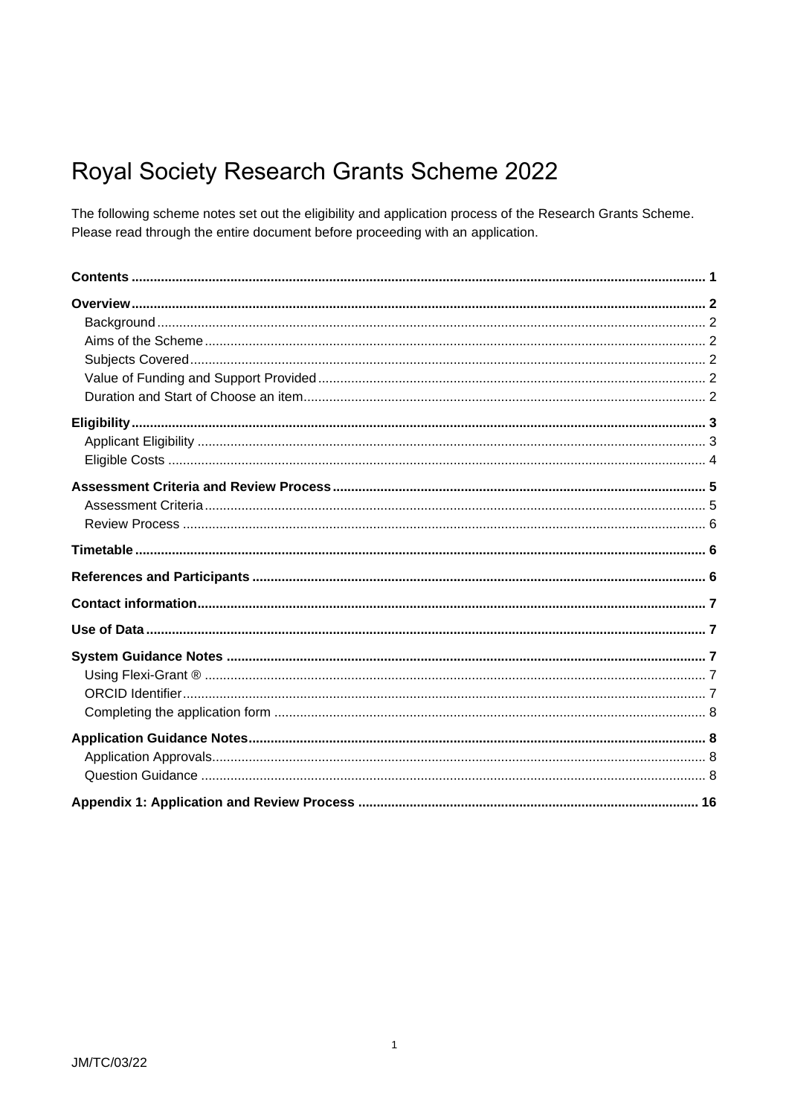# <span id="page-0-0"></span>Royal Society Research Grants Scheme 2022

The following scheme notes set out the eligibility and application process of the Research Grants Scheme. Please read through the entire document before proceeding with an application.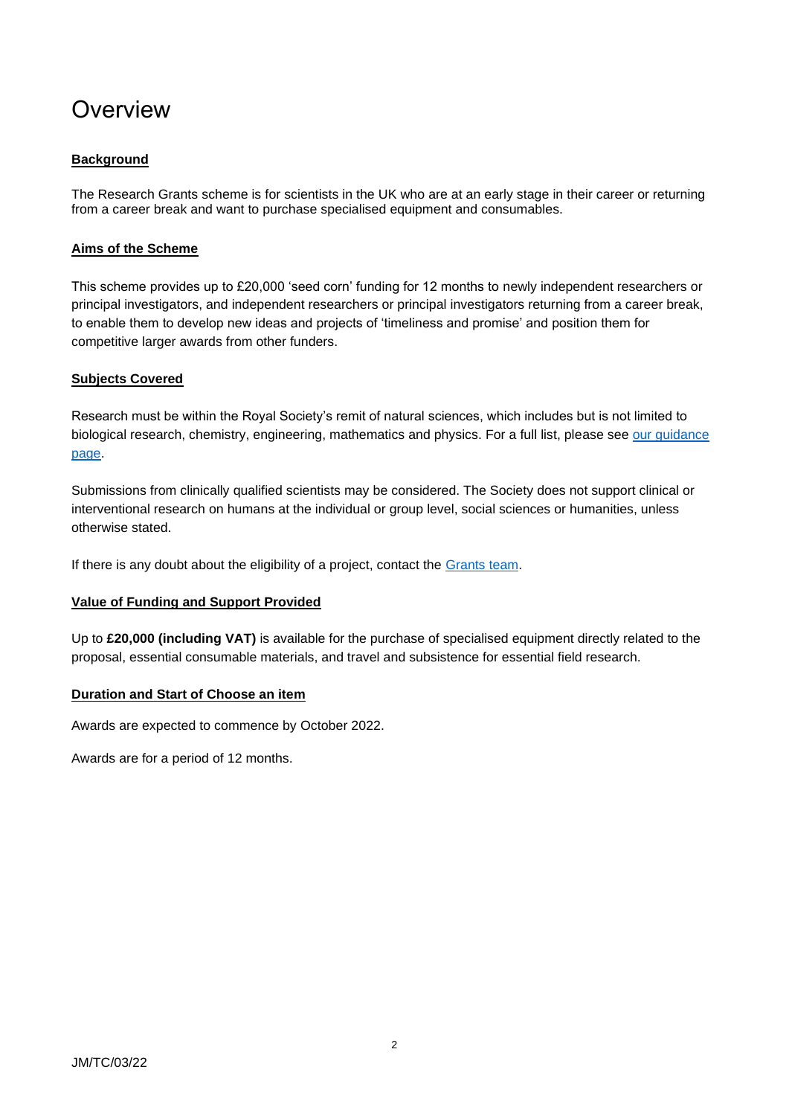# <span id="page-1-0"></span>**Overview**

## <span id="page-1-1"></span>**Background**

The Research Grants scheme is for scientists in the UK who are at an early stage in their career or returning from a career break and want to purchase specialised equipment and consumables.

#### <span id="page-1-2"></span>**Aims of the Scheme**

This scheme provides up to £20,000 'seed corn' funding for 12 months to newly independent researchers or principal investigators, and independent researchers or principal investigators returning from a career break, to enable them to develop new ideas and projects of 'timeliness and promise' and position them for competitive larger awards from other funders.

#### <span id="page-1-3"></span>**Subjects Covered**

Research must be within the Royal Society's remit of natural sciences, which includes but is not limited to biological research, chemistry, engineering, mathematics and physics. For a full list, please see [our guidance](https://royalsociety.org/grants-schemes-awards/grants/subject-groups/)  [page.](https://royalsociety.org/grants-schemes-awards/grants/subject-groups/)

Submissions from clinically qualified scientists may be considered. The Society does not support clinical or interventional research on humans at the individual or group level, social sciences or humanities, unless otherwise stated.

If there is any doubt about the eligibility of a project, contact the [Grants team.](mailto:grants@royalsociety.org)

## <span id="page-1-4"></span>**Value of Funding and Support Provided**

Up to **£20,000 (including VAT)** is available for the purchase of specialised equipment directly related to the proposal, essential consumable materials, and travel and subsistence for essential field research.

#### <span id="page-1-5"></span>**Duration and Start of Choose an item**

Awards are expected to commence by October 2022.

Awards are for a period of 12 months.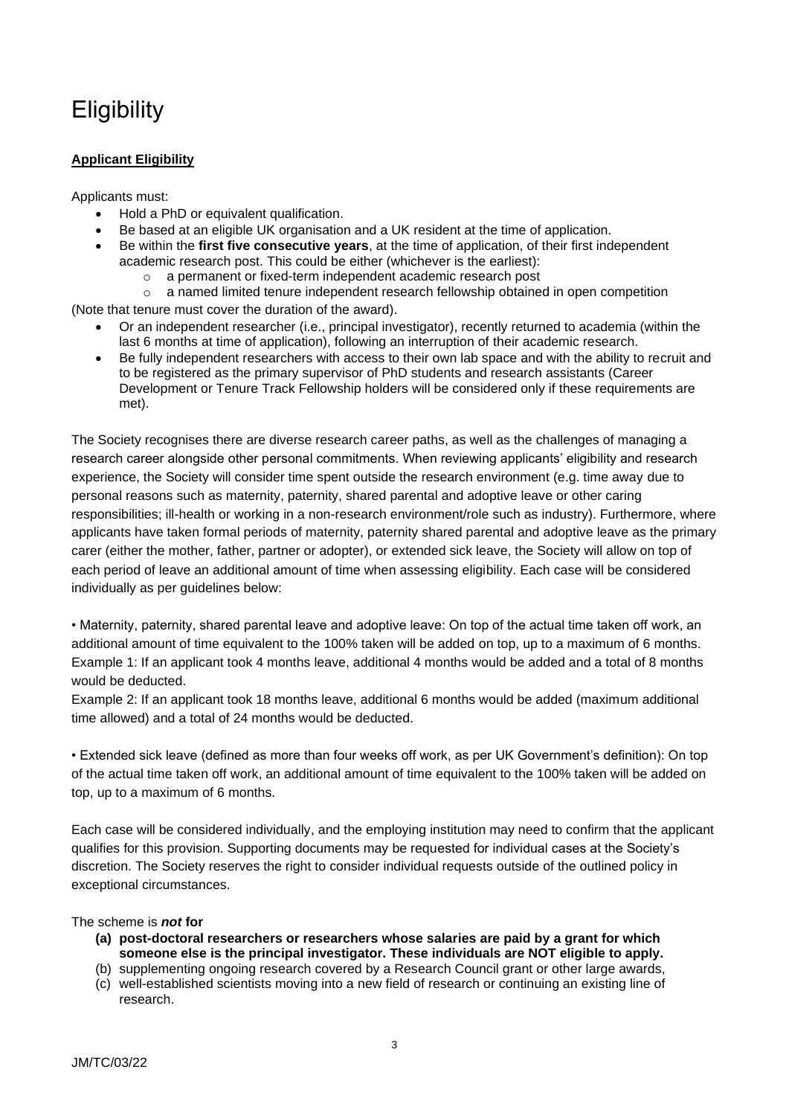# <span id="page-2-0"></span>**Eligibility**

## <span id="page-2-1"></span>**Applicant Eligibility**

Applicants must:

- Hold a PhD or equivalent qualification.
- Be based at an eligible UK organisation and a UK resident at the time of application.
- Be within the **first five consecutive years**, at the time of application, of their first independent academic research post. This could be either (whichever is the earliest):
	- o a permanent or fixed-term independent academic research post
- $\circ$  a named limited tenure independent research fellowship obtained in open competition (Note that tenure must cover the duration of the award).
	- Or an independent researcher (i.e., principal investigator), recently returned to academia (within the last 6 months at time of application), following an interruption of their academic research.
	- Be fully independent researchers with access to their own lab space and with the ability to recruit and to be registered as the primary supervisor of PhD students and research assistants (Career Development or Tenure Track Fellowship holders will be considered only if these requirements are met).

The Society recognises there are diverse research career paths, as well as the challenges of managing a research career alongside other personal commitments. When reviewing applicants' eligibility and research experience, the Society will consider time spent outside the research environment (e.g. time away due to personal reasons such as maternity, paternity, shared parental and adoptive leave or other caring responsibilities; ill-health or working in a non-research environment/role such as industry). Furthermore, where applicants have taken formal periods of maternity, paternity shared parental and adoptive leave as the primary carer (either the mother, father, partner or adopter), or extended sick leave, the Society will allow on top of each period of leave an additional amount of time when assessing eligibility. Each case will be considered individually as per guidelines below:

• Maternity, paternity, shared parental leave and adoptive leave: On top of the actual time taken off work, an additional amount of time equivalent to the 100% taken will be added on top, up to a maximum of 6 months. Example 1: If an applicant took 4 months leave, additional 4 months would be added and a total of 8 months would be deducted.

Example 2: If an applicant took 18 months leave, additional 6 months would be added (maximum additional time allowed) and a total of 24 months would be deducted.

• Extended sick leave (defined as more than four weeks off work, as per UK Government's definition): On top of the actual time taken off work, an additional amount of time equivalent to the 100% taken will be added on top, up to a maximum of 6 months.

Each case will be considered individually, and the employing institution may need to confirm that the applicant qualifies for this provision. Supporting documents may be requested for individual cases at the Society's discretion. The Society reserves the right to consider individual requests outside of the outlined policy in exceptional circumstances.

## The scheme is *not* **for**

- **(a) post-doctoral researchers or researchers whose salaries are paid by a grant for which someone else is the principal investigator. These individuals are NOT eligible to apply.**
- (b) supplementing ongoing research covered by a Research Council grant or other large awards, (c) well-established scientists moving into a new field of research or continuing an existing line of research.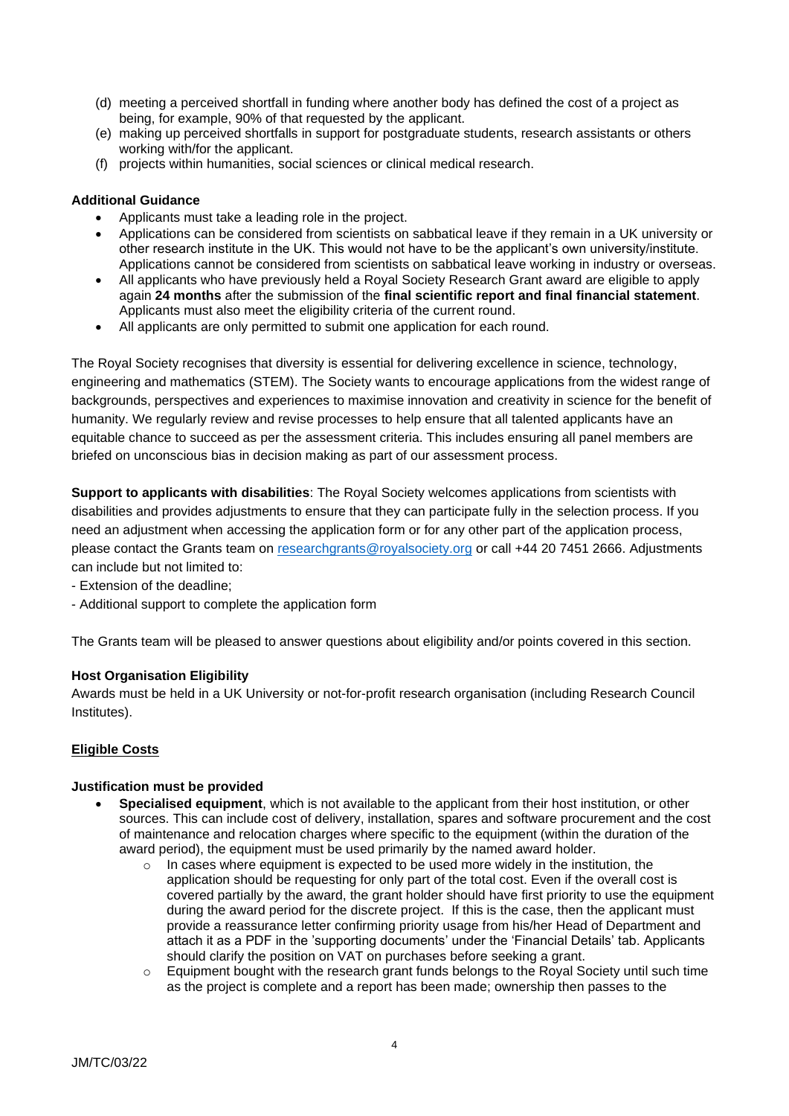- (d) meeting a perceived shortfall in funding where another body has defined the cost of a project as being, for example, 90% of that requested by the applicant.
- (e) making up perceived shortfalls in support for postgraduate students, research assistants or others working with/for the applicant.
- (f) projects within humanities, social sciences or clinical medical research.

#### **Additional Guidance**

- Applicants must take a leading role in the project.
- Applications can be considered from scientists on sabbatical leave if they remain in a UK university or other research institute in the UK. This would not have to be the applicant's own university/institute. Applications cannot be considered from scientists on sabbatical leave working in industry or overseas.
- All applicants who have previously held a Royal Society Research Grant award are eligible to apply again **24 months** after the submission of the **final scientific report and final financial statement**. Applicants must also meet the eligibility criteria of the current round.
- All applicants are only permitted to submit one application for each round.

The Royal Society recognises that diversity is essential for delivering excellence in science, technology, engineering and mathematics (STEM). The Society wants to encourage applications from the widest range of backgrounds, perspectives and experiences to maximise innovation and creativity in science for the benefit of humanity. We regularly review and revise processes to help ensure that all talented applicants have an equitable chance to succeed as per the assessment criteria. This includes ensuring all panel members are briefed on unconscious bias in decision making as part of our assessment process.

**Support to applicants with disabilities**: The Royal Society welcomes applications from scientists with disabilities and provides adjustments to ensure that they can participate fully in the selection process. If you need an adjustment when accessing the application form or for any other part of the application process, please contact the Grants team on [researchgrants@royalsociety.org](mailto:researchgrants@royalsociety.org) or call +44 20 7451 2666. Adjustments can include but not limited to:

- Extension of the deadline;
- Additional support to complete the application form

The Grants team will be pleased to answer questions about eligibility and/or points covered in this section.

#### **Host Organisation Eligibility**

Awards must be held in a UK University or not-for-profit research organisation (including Research Council Institutes).

#### <span id="page-3-0"></span>**Eligible Costs**

#### **Justification must be provided**

- **Specialised equipment**, which is not available to the applicant from their host institution, or other sources. This can include cost of delivery, installation, spares and software procurement and the cost of maintenance and relocation charges where specific to the equipment (within the duration of the award period), the equipment must be used primarily by the named award holder.
	- o In cases where equipment is expected to be used more widely in the institution, the application should be requesting for only part of the total cost. Even if the overall cost is covered partially by the award, the grant holder should have first priority to use the equipment during the award period for the discrete project. If this is the case, then the applicant must provide a reassurance letter confirming priority usage from his/her Head of Department and attach it as a PDF in the 'supporting documents' under the 'Financial Details' tab. Applicants should clarify the position on VAT on purchases before seeking a grant.
	- $\circ$  Equipment bought with the research grant funds belongs to the Royal Society until such time as the project is complete and a report has been made; ownership then passes to the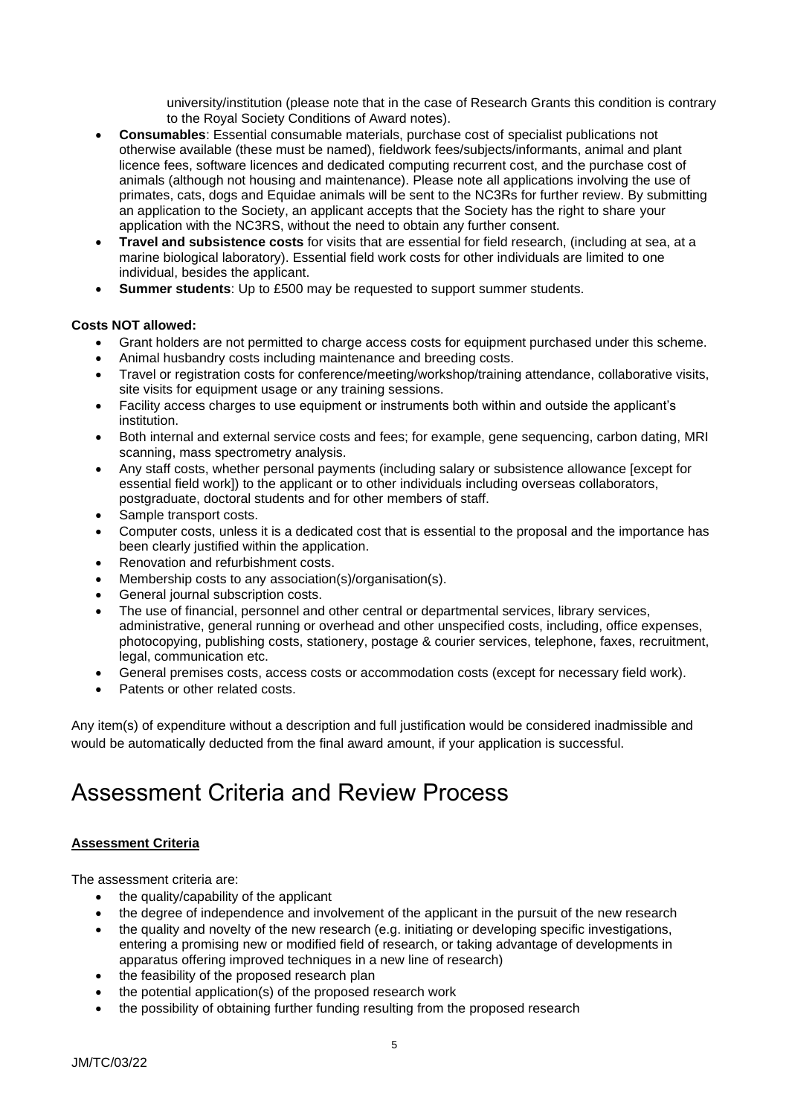university/institution (please note that in the case of Research Grants this condition is contrary to the Royal Society Conditions of Award notes).

- **Consumables**: Essential consumable materials, purchase cost of specialist publications not otherwise available (these must be named), fieldwork fees/subjects/informants, animal and plant licence fees, software licences and dedicated computing recurrent cost, and the purchase cost of animals (although not housing and maintenance). Please note all applications involving the use of primates, cats, dogs and Equidae animals will be sent to the NC3Rs for further review. By submitting an application to the Society, an applicant accepts that the Society has the right to share your application with the NC3RS, without the need to obtain any further consent.
- **Travel and subsistence costs** for visits that are essential for field research, (including at sea, at a marine biological laboratory). Essential field work costs for other individuals are limited to one individual, besides the applicant.
- **Summer students**: Up to £500 may be requested to support summer students.

#### **Costs NOT allowed:**

- Grant holders are not permitted to charge access costs for equipment purchased under this scheme.
- Animal husbandry costs including maintenance and breeding costs.
- Travel or registration costs for conference/meeting/workshop/training attendance, collaborative visits, site visits for equipment usage or any training sessions.
- Facility access charges to use equipment or instruments both within and outside the applicant's institution.
- Both internal and external service costs and fees; for example, gene sequencing, carbon dating, MRI scanning, mass spectrometry analysis.
- Any staff costs, whether personal payments (including salary or subsistence allowance [except for essential field work]) to the applicant or to other individuals including overseas collaborators, postgraduate, doctoral students and for other members of staff.
- Sample transport costs.
- Computer costs, unless it is a dedicated cost that is essential to the proposal and the importance has been clearly justified within the application.
- Renovation and refurbishment costs.
- Membership costs to any association(s)/organisation(s).
- General journal subscription costs.
- The use of financial, personnel and other central or departmental services, library services, administrative, general running or overhead and other unspecified costs, including, office expenses, photocopying, publishing costs, stationery, postage & courier services, telephone, faxes, recruitment, legal, communication etc.
- General premises costs, access costs or accommodation costs (except for necessary field work).
- Patents or other related costs.

Any item(s) of expenditure without a description and full justification would be considered inadmissible and would be automatically deducted from the final award amount, if your application is successful.

# <span id="page-4-0"></span>Assessment Criteria and Review Process

#### <span id="page-4-1"></span>**Assessment Criteria**

The assessment criteria are:

- the quality/capability of the applicant
- the degree of independence and involvement of the applicant in the pursuit of the new research
- the quality and novelty of the new research (e.g. initiating or developing specific investigations, entering a promising new or modified field of research, or taking advantage of developments in apparatus offering improved techniques in a new line of research)
- the feasibility of the proposed research plan
- the potential application(s) of the proposed research work
- the possibility of obtaining further funding resulting from the proposed research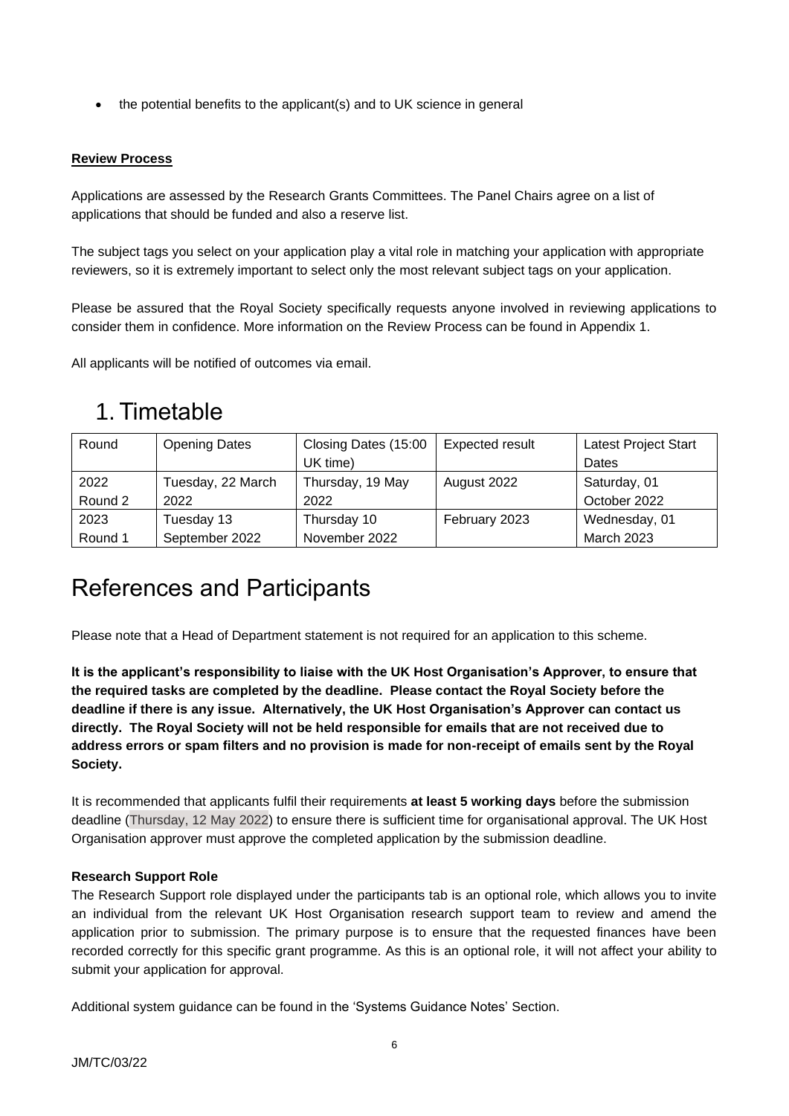• the potential benefits to the applicant(s) and to UK science in general

#### <span id="page-5-0"></span>**Review Process**

Applications are assessed by the Research Grants Committees. The Panel Chairs agree on a list of applications that should be funded and also a reserve list.

The subject tags you select on your application play a vital role in matching your application with appropriate reviewers, so it is extremely important to select only the most relevant subject tags on your application.

Please be assured that the Royal Society specifically requests anyone involved in reviewing applications to consider them in confidence. More information on the Review Process can be found in Appendix 1.

All applicants will be notified of outcomes via email.

# <span id="page-5-1"></span>1. Timetable

| Round   | <b>Opening Dates</b> | Closing Dates (15:00 | <b>Expected result</b> | Latest Project Start |
|---------|----------------------|----------------------|------------------------|----------------------|
|         |                      | UK time)             |                        | Dates                |
| 2022    | Tuesday, 22 March    | Thursday, 19 May     | August 2022            | Saturday, 01         |
| Round 2 | 2022                 | 2022                 |                        | October 2022         |
| 2023    | Tuesday 13           | Thursday 10          | February 2023          | Wednesday, 01        |
| Round 1 | September 2022       | November 2022        |                        | <b>March 2023</b>    |

# <span id="page-5-2"></span>References and Participants

Please note that a Head of Department statement is not required for an application to this scheme.

**It is the applicant's responsibility to liaise with the UK Host Organisation's Approver, to ensure that the required tasks are completed by the deadline. Please contact the Royal Society before the deadline if there is any issue. Alternatively, the UK Host Organisation's Approver can contact us directly. The Royal Society will not be held responsible for emails that are not received due to address errors or spam filters and no provision is made for non-receipt of emails sent by the Royal Society.**

It is recommended that applicants fulfil their requirements **at least 5 working days** before the submission deadline (Thursday, 12 May 2022) to ensure there is sufficient time for organisational approval. The UK Host Organisation approver must approve the completed application by the submission deadline.

#### **Research Support Role**

The Research Support role displayed under the participants tab is an optional role, which allows you to invite an individual from the relevant UK Host Organisation research support team to review and amend the application prior to submission. The primary purpose is to ensure that the requested finances have been recorded correctly for this specific grant programme. As this is an optional role, it will not affect your ability to submit your application for approval.

Additional system guidance can be found in the 'Systems Guidance Notes' Section.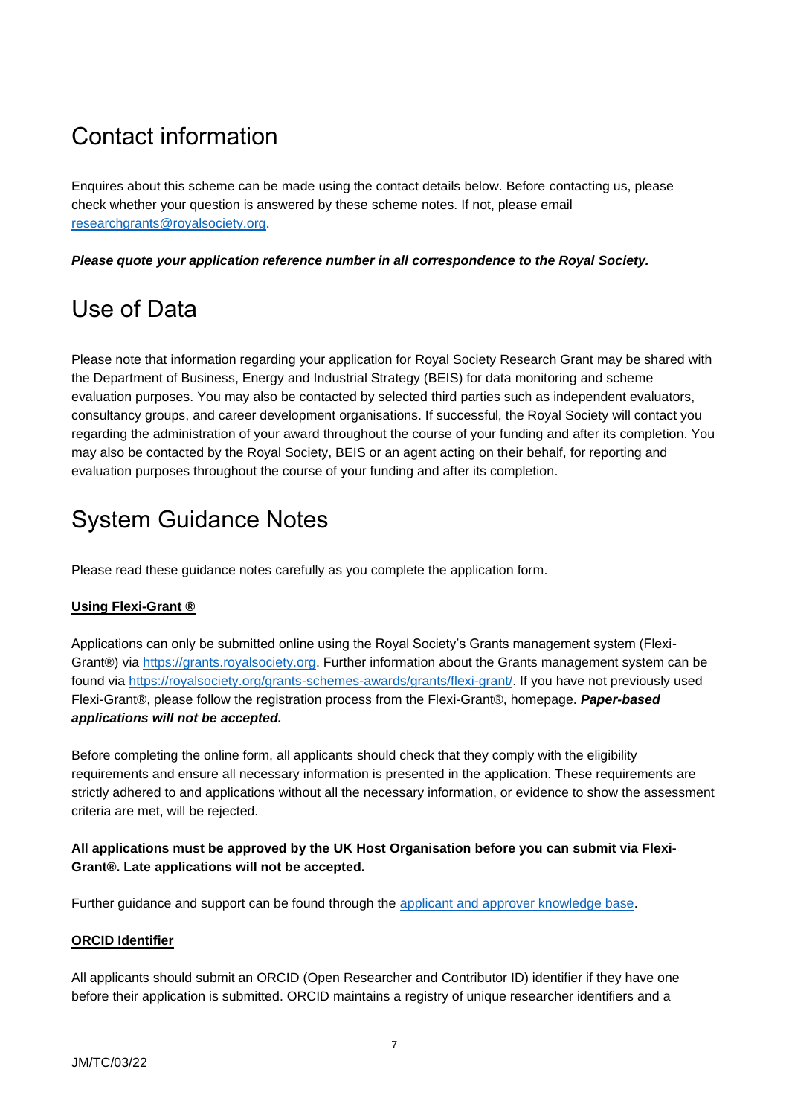# <span id="page-6-0"></span>Contact information

Enquires about this scheme can be made using the contact details below. Before contacting us, please check whether your question is answered by these scheme notes. If not, please email [researchgrants@royalsociety.org.](mailto:researchgrants@royalsociety.org)

*Please quote your application reference number in all correspondence to the Royal Society.*

# <span id="page-6-1"></span>Use of Data

Please note that information regarding your application for Royal Society Research Grant may be shared with the Department of Business, Energy and Industrial Strategy (BEIS) for data monitoring and scheme evaluation purposes. You may also be contacted by selected third parties such as independent evaluators, consultancy groups, and career development organisations. If successful, the Royal Society will contact you regarding the administration of your award throughout the course of your funding and after its completion. You may also be contacted by the Royal Society, BEIS or an agent acting on their behalf, for reporting and evaluation purposes throughout the course of your funding and after its completion.

# <span id="page-6-2"></span>System Guidance Notes

Please read these guidance notes carefully as you complete the application form.

# <span id="page-6-3"></span>**Using Flexi-Grant ®**

Applications can only be submitted online using the Royal Society's Grants management system (Flexi-Grant®) via [https://grants.royalsociety.org.](https://grants.royalsociety.org/) Further information about the Grants management system can be found via [https://royalsociety.org/grants-schemes-awards/grants/flexi-grant/.](https://royalsociety.org/grants-schemes-awards/grants/flexi-grant/) If you have not previously used Flexi-Grant®, please follow the registration process from the Flexi-Grant®, homepage. *Paper-based applications will not be accepted.*

Before completing the online form, all applicants should check that they comply with the eligibility requirements and ensure all necessary information is presented in the application. These requirements are strictly adhered to and applications without all the necessary information, or evidence to show the assessment criteria are met, will be rejected.

## **All applications must be approved by the UK Host Organisation before you can submit via Flexi-Grant®. Late applications will not be accepted.**

Further guidance and support can be found through the [applicant and approver knowledge base.](http://royalsocietyapplicantsupport.fluenttechnology.com/support/home)

## <span id="page-6-4"></span>**ORCID Identifier**

All applicants should submit an ORCID (Open Researcher and Contributor ID) identifier if they have one before their application is submitted. ORCID maintains a registry of unique researcher identifiers and a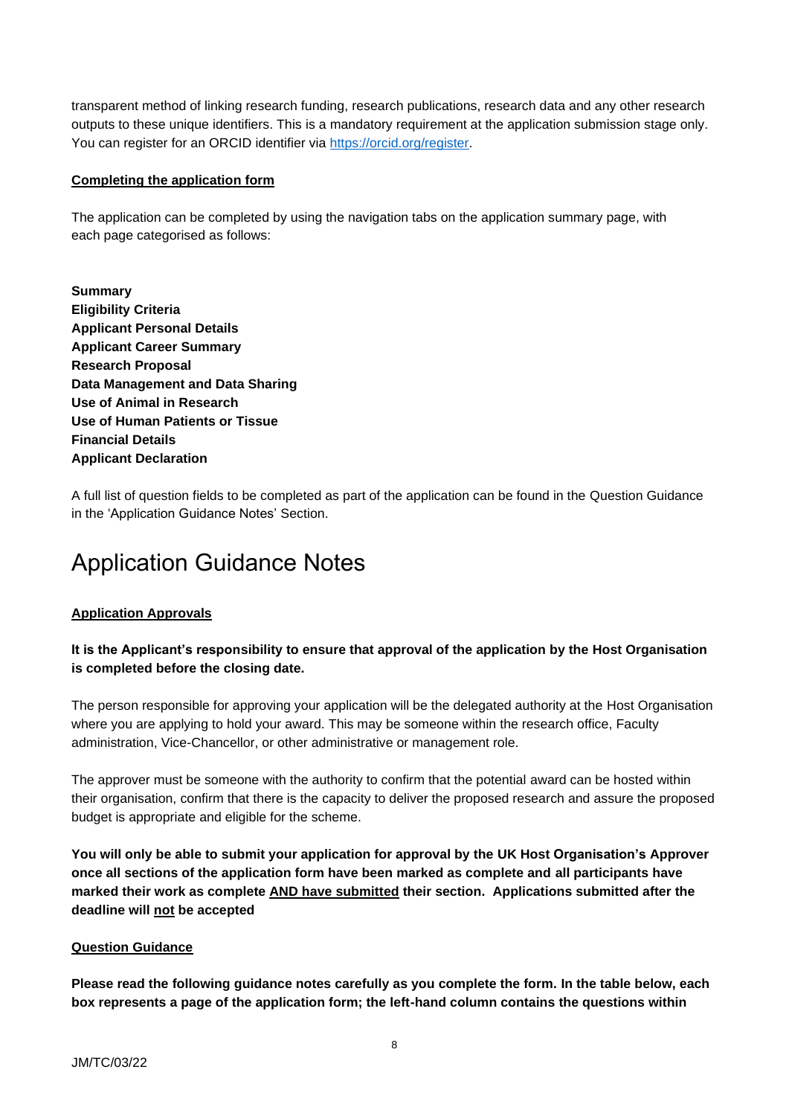transparent method of linking research funding, research publications, research data and any other research outputs to these unique identifiers. This is a mandatory requirement at the application submission stage only. You can register for an ORCID identifier via [https://orcid.org/register.](https://orcid.org/register)

#### <span id="page-7-0"></span>**Completing the application form**

The application can be completed by using the navigation tabs on the application summary page, with each page categorised as follows:

**Summary Eligibility Criteria Applicant Personal Details Applicant Career Summary Research Proposal Data Management and Data Sharing Use of Animal in Research Use of Human Patients or Tissue Financial Details Applicant Declaration**

A full list of question fields to be completed as part of the application can be found in the Question Guidance in the 'Application Guidance Notes' Section.

# <span id="page-7-1"></span>Application Guidance Notes

## <span id="page-7-2"></span>**Application Approvals**

## **It is the Applicant's responsibility to ensure that approval of the application by the Host Organisation is completed before the closing date.**

The person responsible for approving your application will be the delegated authority at the Host Organisation where you are applying to hold your award. This may be someone within the research office, Faculty administration, Vice-Chancellor, or other administrative or management role.

The approver must be someone with the authority to confirm that the potential award can be hosted within their organisation, confirm that there is the capacity to deliver the proposed research and assure the proposed budget is appropriate and eligible for the scheme.

**You will only be able to submit your application for approval by the UK Host Organisation's Approver once all sections of the application form have been marked as complete and all participants have marked their work as complete AND have submitted their section. Applications submitted after the deadline will not be accepted**

#### <span id="page-7-3"></span>**Question Guidance**

**Please read the following guidance notes carefully as you complete the form. In the table below, each box represents a page of the application form; the left-hand column contains the questions within**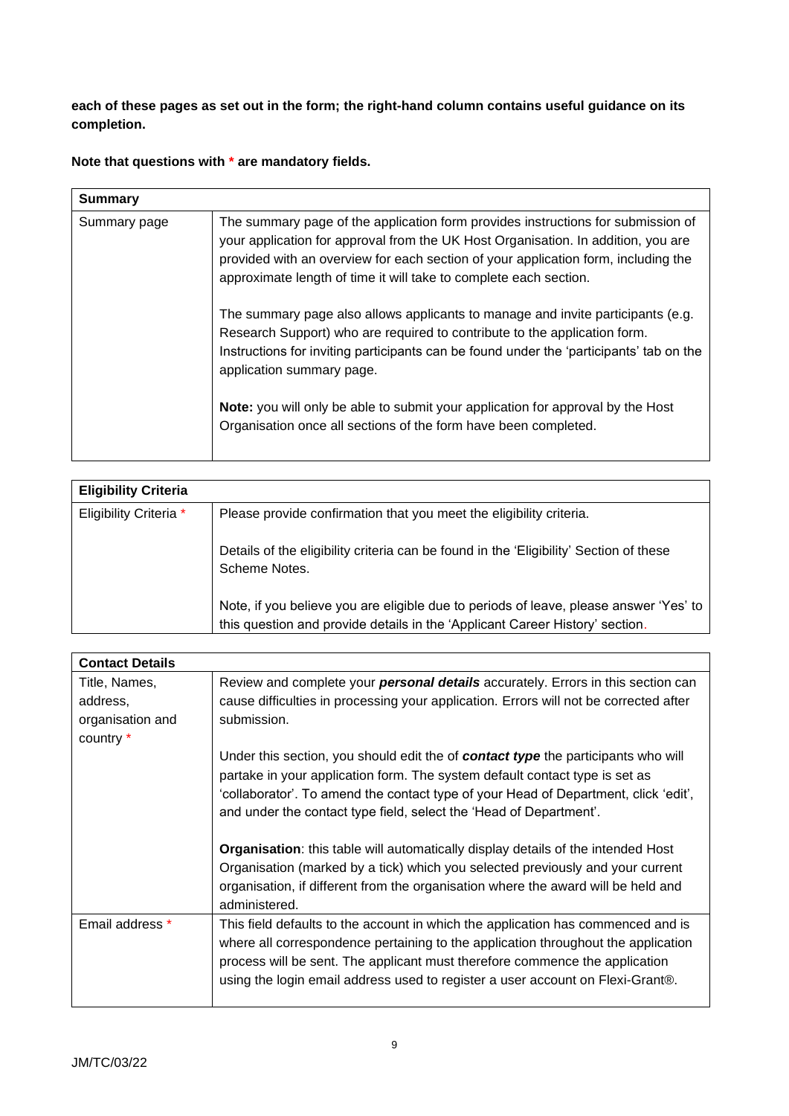**each of these pages as set out in the form; the right-hand column contains useful guidance on its completion.**

**Note that questions with \* are mandatory fields.**

| <b>Summary</b> |                                                                                                                                                                                                                                                                                                                                  |
|----------------|----------------------------------------------------------------------------------------------------------------------------------------------------------------------------------------------------------------------------------------------------------------------------------------------------------------------------------|
| Summary page   | The summary page of the application form provides instructions for submission of<br>your application for approval from the UK Host Organisation. In addition, you are<br>provided with an overview for each section of your application form, including the<br>approximate length of time it will take to complete each section. |
|                | The summary page also allows applicants to manage and invite participants (e.g.<br>Research Support) who are required to contribute to the application form.<br>Instructions for inviting participants can be found under the 'participants' tab on the<br>application summary page.                                             |
|                | <b>Note:</b> you will only be able to submit your application for approval by the Host<br>Organisation once all sections of the form have been completed.                                                                                                                                                                        |

| <b>Eligibility Criteria</b> |                                                                                                                                                                       |
|-----------------------------|-----------------------------------------------------------------------------------------------------------------------------------------------------------------------|
| Eligibility Criteria *      | Please provide confirmation that you meet the eligibility criteria.                                                                                                   |
|                             | Details of the eligibility criteria can be found in the 'Eligibility' Section of these<br>Scheme Notes.                                                               |
|                             | Note, if you believe you are eligible due to periods of leave, please answer 'Yes' to<br>this question and provide details in the 'Applicant Career History' section. |

| <b>Contact Details</b> |                                                                                         |
|------------------------|-----------------------------------------------------------------------------------------|
| Title, Names,          | Review and complete your <b>personal details</b> accurately. Errors in this section can |
| address,               | cause difficulties in processing your application. Errors will not be corrected after   |
| organisation and       | submission.                                                                             |
| country *              |                                                                                         |
|                        | Under this section, you should edit the of contact type the participants who will       |
|                        | partake in your application form. The system default contact type is set as             |
|                        | 'collaborator'. To amend the contact type of your Head of Department, click 'edit',     |
|                        | and under the contact type field, select the 'Head of Department'.                      |
|                        |                                                                                         |
|                        | <b>Organisation:</b> this table will automatically display details of the intended Host |
|                        | Organisation (marked by a tick) which you selected previously and your current          |
|                        | organisation, if different from the organisation where the award will be held and       |
|                        | administered.                                                                           |
| Email address *        | This field defaults to the account in which the application has commenced and is        |
|                        | where all correspondence pertaining to the application throughout the application       |
|                        | process will be sent. The applicant must therefore commence the application             |
|                        | using the login email address used to register a user account on Flexi-Grant®.          |
|                        |                                                                                         |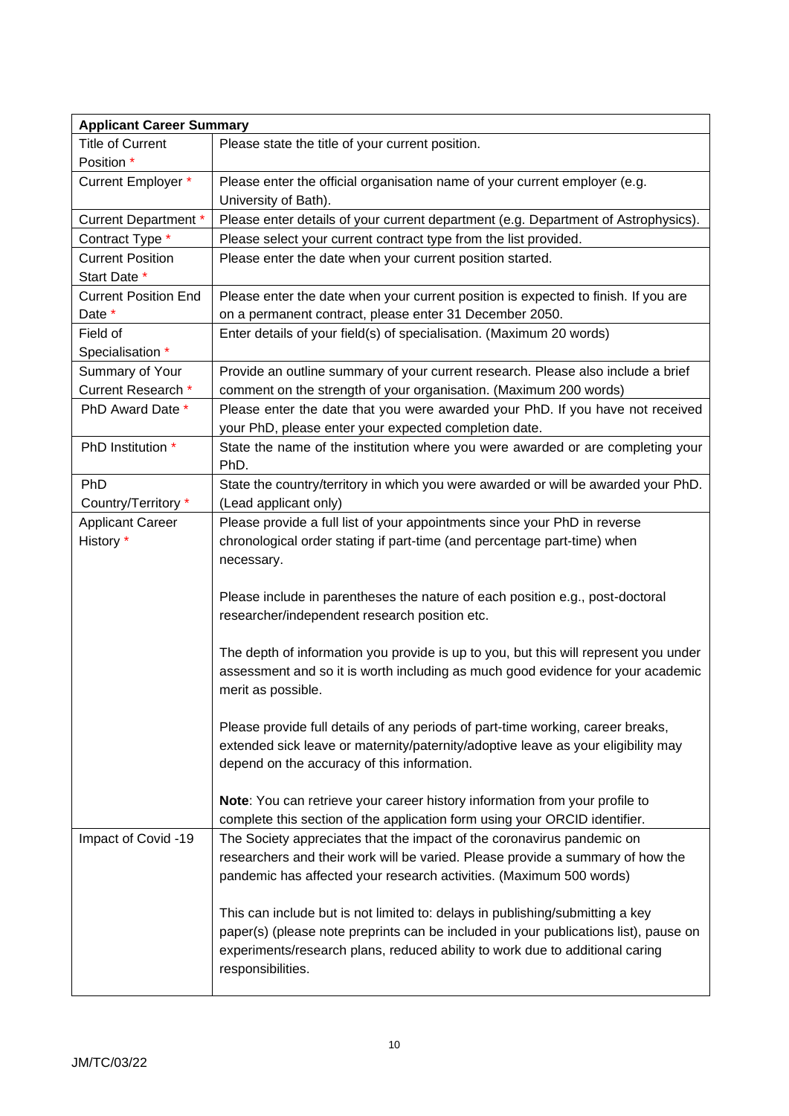| <b>Applicant Career Summary</b> |                                                                                      |  |  |
|---------------------------------|--------------------------------------------------------------------------------------|--|--|
| <b>Title of Current</b>         | Please state the title of your current position.                                     |  |  |
| Position *                      |                                                                                      |  |  |
| Current Employer *              | Please enter the official organisation name of your current employer (e.g.           |  |  |
|                                 | University of Bath).                                                                 |  |  |
| <b>Current Department *</b>     | Please enter details of your current department (e.g. Department of Astrophysics).   |  |  |
| Contract Type *                 | Please select your current contract type from the list provided.                     |  |  |
| <b>Current Position</b>         | Please enter the date when your current position started.                            |  |  |
| Start Date *                    |                                                                                      |  |  |
| <b>Current Position End</b>     | Please enter the date when your current position is expected to finish. If you are   |  |  |
| Date *                          | on a permanent contract, please enter 31 December 2050.                              |  |  |
| Field of                        | Enter details of your field(s) of specialisation. (Maximum 20 words)                 |  |  |
| Specialisation *                |                                                                                      |  |  |
| Summary of Your                 | Provide an outline summary of your current research. Please also include a brief     |  |  |
| Current Research *              | comment on the strength of your organisation. (Maximum 200 words)                    |  |  |
| PhD Award Date *                | Please enter the date that you were awarded your PhD. If you have not received       |  |  |
|                                 | your PhD, please enter your expected completion date.                                |  |  |
| PhD Institution *               | State the name of the institution where you were awarded or are completing your      |  |  |
|                                 | PhD.                                                                                 |  |  |
| PhD                             | State the country/territory in which you were awarded or will be awarded your PhD.   |  |  |
| Country/Territory *             | (Lead applicant only)                                                                |  |  |
| <b>Applicant Career</b>         | Please provide a full list of your appointments since your PhD in reverse            |  |  |
| History *                       | chronological order stating if part-time (and percentage part-time) when             |  |  |
|                                 | necessary.                                                                           |  |  |
|                                 |                                                                                      |  |  |
|                                 | Please include in parentheses the nature of each position e.g., post-doctoral        |  |  |
|                                 | researcher/independent research position etc.                                        |  |  |
|                                 | The depth of information you provide is up to you, but this will represent you under |  |  |
|                                 | assessment and so it is worth including as much good evidence for your academic      |  |  |
|                                 | merit as possible.                                                                   |  |  |
|                                 |                                                                                      |  |  |
|                                 | Please provide full details of any periods of part-time working, career breaks,      |  |  |
|                                 | extended sick leave or maternity/paternity/adoptive leave as your eligibility may    |  |  |
|                                 | depend on the accuracy of this information.                                          |  |  |
|                                 |                                                                                      |  |  |
|                                 | Note: You can retrieve your career history information from your profile to          |  |  |
|                                 | complete this section of the application form using your ORCID identifier.           |  |  |
| Impact of Covid -19             | The Society appreciates that the impact of the coronavirus pandemic on               |  |  |
|                                 | researchers and their work will be varied. Please provide a summary of how the       |  |  |
|                                 | pandemic has affected your research activities. (Maximum 500 words)                  |  |  |
|                                 |                                                                                      |  |  |
|                                 | This can include but is not limited to: delays in publishing/submitting a key        |  |  |
|                                 | paper(s) (please note preprints can be included in your publications list), pause on |  |  |
|                                 | experiments/research plans, reduced ability to work due to additional caring         |  |  |
|                                 | responsibilities.                                                                    |  |  |
|                                 |                                                                                      |  |  |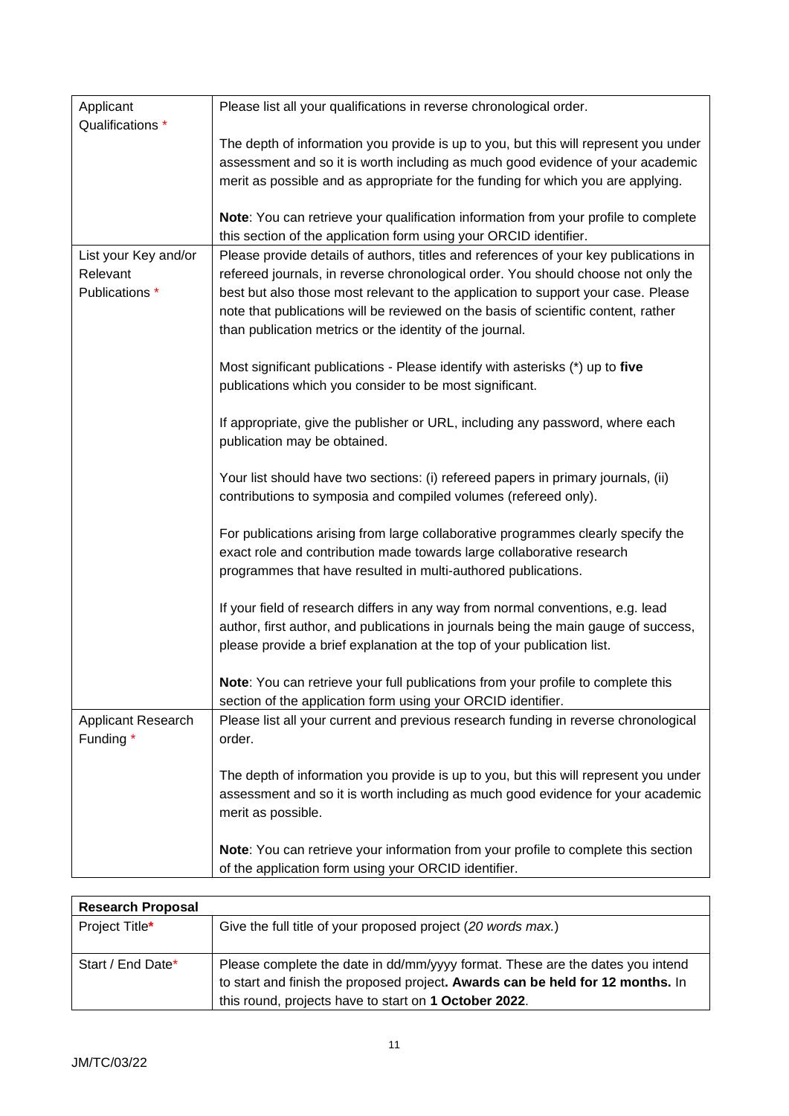| Applicant            | Please list all your qualifications in reverse chronological order.                                                                                                |
|----------------------|--------------------------------------------------------------------------------------------------------------------------------------------------------------------|
| Qualifications *     |                                                                                                                                                                    |
|                      | The depth of information you provide is up to you, but this will represent you under                                                                               |
|                      | assessment and so it is worth including as much good evidence of your academic<br>merit as possible and as appropriate for the funding for which you are applying. |
|                      |                                                                                                                                                                    |
|                      | Note: You can retrieve your qualification information from your profile to complete                                                                                |
|                      | this section of the application form using your ORCID identifier.                                                                                                  |
| List your Key and/or | Please provide details of authors, titles and references of your key publications in                                                                               |
| Relevant             | refereed journals, in reverse chronological order. You should choose not only the                                                                                  |
| Publications *       | best but also those most relevant to the application to support your case. Please                                                                                  |
|                      | note that publications will be reviewed on the basis of scientific content, rather<br>than publication metrics or the identity of the journal.                     |
|                      |                                                                                                                                                                    |
|                      | Most significant publications - Please identify with asterisks (*) up to five                                                                                      |
|                      | publications which you consider to be most significant.                                                                                                            |
|                      |                                                                                                                                                                    |
|                      | If appropriate, give the publisher or URL, including any password, where each                                                                                      |
|                      | publication may be obtained.                                                                                                                                       |
|                      | Your list should have two sections: (i) refereed papers in primary journals, (ii)                                                                                  |
|                      | contributions to symposia and compiled volumes (refereed only).                                                                                                    |
|                      |                                                                                                                                                                    |
|                      | For publications arising from large collaborative programmes clearly specify the                                                                                   |
|                      | exact role and contribution made towards large collaborative research                                                                                              |
|                      | programmes that have resulted in multi-authored publications.                                                                                                      |
|                      | If your field of research differs in any way from normal conventions, e.g. lead                                                                                    |
|                      | author, first author, and publications in journals being the main gauge of success,                                                                                |
|                      | please provide a brief explanation at the top of your publication list.                                                                                            |
|                      |                                                                                                                                                                    |
|                      | Note: You can retrieve your full publications from your profile to complete this                                                                                   |
| Applicant Research   | section of the application form using your ORCID identifier.<br>Please list all your current and previous research funding in reverse chronological                |
| Funding *            | order.                                                                                                                                                             |
|                      |                                                                                                                                                                    |
|                      | The depth of information you provide is up to you, but this will represent you under                                                                               |
|                      | assessment and so it is worth including as much good evidence for your academic                                                                                    |
|                      | merit as possible.                                                                                                                                                 |
|                      | Note: You can retrieve your information from your profile to complete this section                                                                                 |
|                      | of the application form using your ORCID identifier.                                                                                                               |
|                      |                                                                                                                                                                    |

| <b>Research Proposal</b> |                                                                                                                                                                                                                          |
|--------------------------|--------------------------------------------------------------------------------------------------------------------------------------------------------------------------------------------------------------------------|
| Project Title*           | Give the full title of your proposed project (20 words max.)                                                                                                                                                             |
| Start / End Date*        | Please complete the date in dd/mm/yyyy format. These are the dates you intend<br>to start and finish the proposed project. Awards can be held for 12 months. In<br>this round, projects have to start on 1 October 2022. |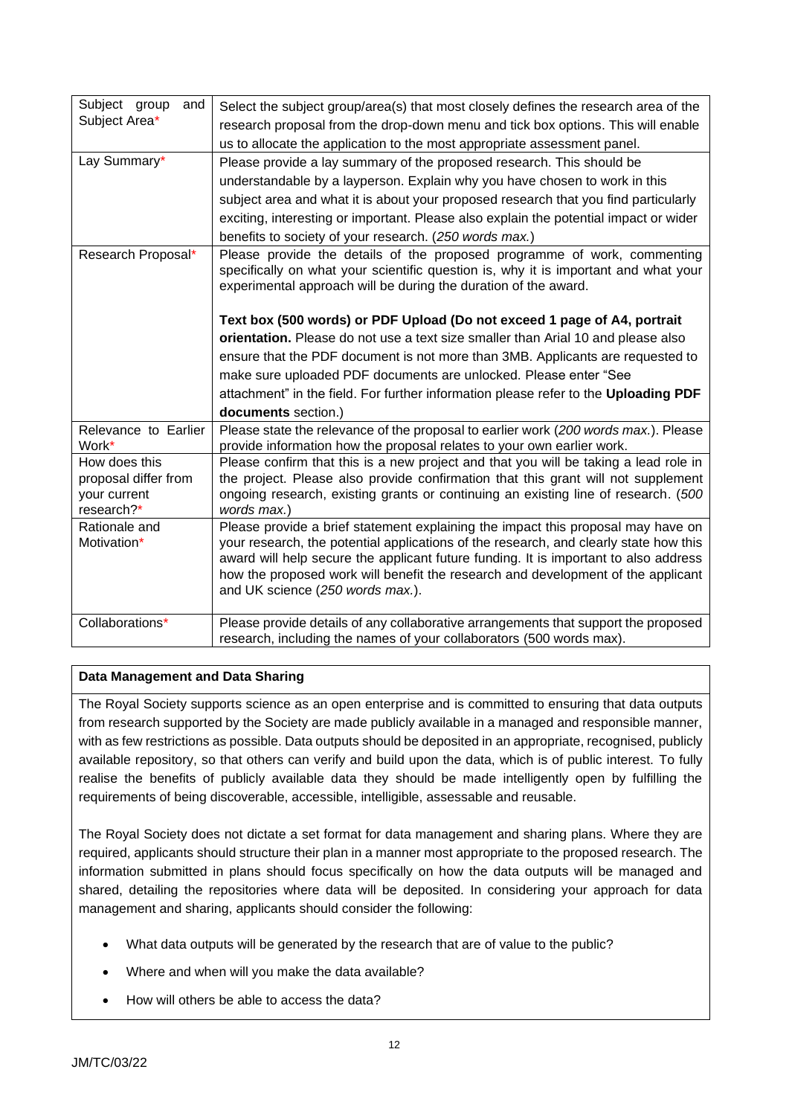| Subject group<br>and          | Select the subject group/area(s) that most closely defines the research area of the                                                                                                                                                |
|-------------------------------|------------------------------------------------------------------------------------------------------------------------------------------------------------------------------------------------------------------------------------|
| Subject Area*                 | research proposal from the drop-down menu and tick box options. This will enable                                                                                                                                                   |
|                               | us to allocate the application to the most appropriate assessment panel.                                                                                                                                                           |
| Lay Summary*                  | Please provide a lay summary of the proposed research. This should be                                                                                                                                                              |
|                               | understandable by a layperson. Explain why you have chosen to work in this                                                                                                                                                         |
|                               | subject area and what it is about your proposed research that you find particularly                                                                                                                                                |
|                               | exciting, interesting or important. Please also explain the potential impact or wider                                                                                                                                              |
|                               | benefits to society of your research. (250 words max.)                                                                                                                                                                             |
| Research Proposal*            | Please provide the details of the proposed programme of work, commenting<br>specifically on what your scientific question is, why it is important and what your<br>experimental approach will be during the duration of the award. |
|                               | Text box (500 words) or PDF Upload (Do not exceed 1 page of A4, portrait                                                                                                                                                           |
|                               | orientation. Please do not use a text size smaller than Arial 10 and please also                                                                                                                                                   |
|                               | ensure that the PDF document is not more than 3MB. Applicants are requested to                                                                                                                                                     |
|                               | make sure uploaded PDF documents are unlocked. Please enter "See                                                                                                                                                                   |
|                               | attachment" in the field. For further information please refer to the Uploading PDF                                                                                                                                                |
|                               | documents section.)                                                                                                                                                                                                                |
| Relevance to Earlier<br>Work* | Please state the relevance of the proposal to earlier work (200 words max.). Please<br>provide information how the proposal relates to your own earlier work.                                                                      |
| How does this                 | Please confirm that this is a new project and that you will be taking a lead role in                                                                                                                                               |
| proposal differ from          | the project. Please also provide confirmation that this grant will not supplement                                                                                                                                                  |
| your current<br>research?*    | ongoing research, existing grants or continuing an existing line of research. (500<br>words max.)                                                                                                                                  |
| Rationale and                 | Please provide a brief statement explaining the impact this proposal may have on                                                                                                                                                   |
| Motivation*                   | your research, the potential applications of the research, and clearly state how this                                                                                                                                              |
|                               | award will help secure the applicant future funding. It is important to also address                                                                                                                                               |
|                               | how the proposed work will benefit the research and development of the applicant                                                                                                                                                   |
|                               | and UK science (250 words max.).                                                                                                                                                                                                   |
| Collaborations*               | Please provide details of any collaborative arrangements that support the proposed                                                                                                                                                 |
|                               | research, including the names of your collaborators (500 words max).                                                                                                                                                               |

# **Data Management and Data Sharing**

The Royal Society supports science as an open enterprise and is committed to ensuring that data outputs from research supported by the Society are made publicly available in a managed and responsible manner, with as few restrictions as possible. Data outputs should be deposited in an appropriate, recognised, publicly available repository, so that others can verify and build upon the data, which is of public interest. To fully realise the benefits of publicly available data they should be made intelligently open by fulfilling the requirements of being discoverable, accessible, intelligible, assessable and reusable.

The Royal Society does not dictate a set format for data management and sharing plans. Where they are required, applicants should structure their plan in a manner most appropriate to the proposed research. The information submitted in plans should focus specifically on how the data outputs will be managed and shared, detailing the repositories where data will be deposited. In considering your approach for data management and sharing, applicants should consider the following:

- What data outputs will be generated by the research that are of value to the public?
- Where and when will you make the data available?
- How will others be able to access the data?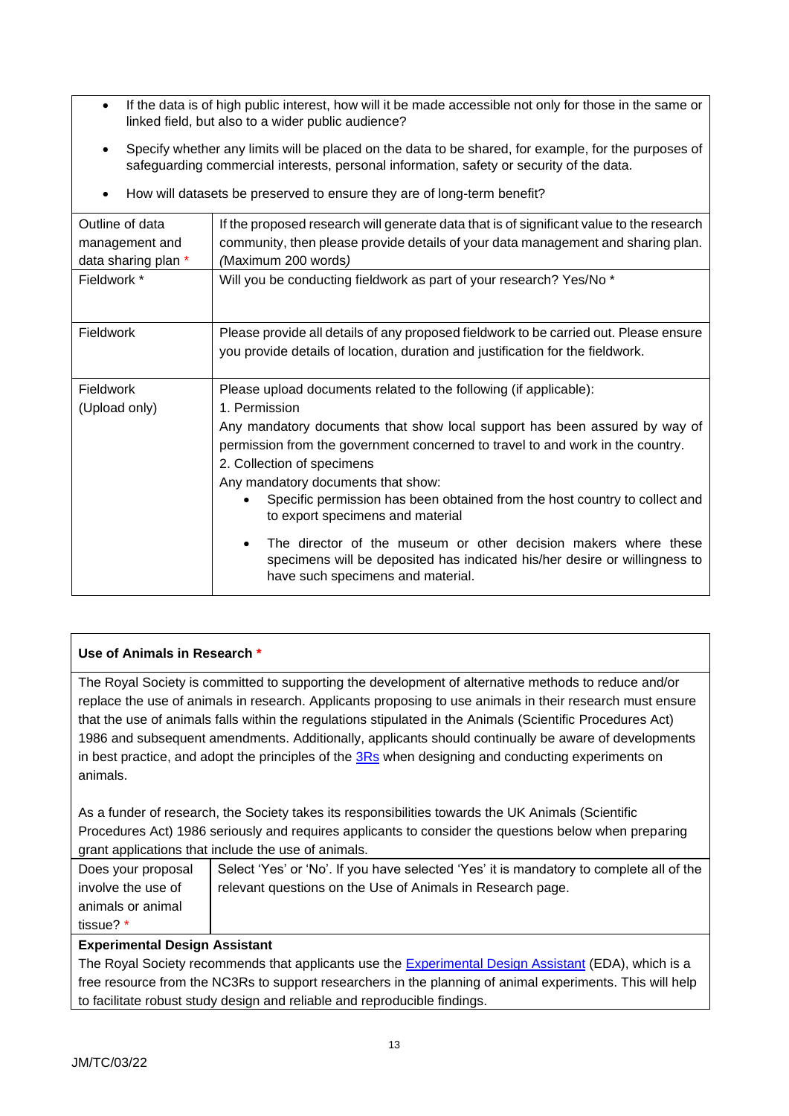- If the data is of high public interest, how will it be made accessible not only for those in the same or linked field, but also to a wider public audience?
- Specify whether any limits will be placed on the data to be shared, for example, for the purposes of safeguarding commercial interests, personal information, safety or security of the data.

| Outline of data     | If the proposed research will generate data that is of significant value to the research                                                                                                        |
|---------------------|-------------------------------------------------------------------------------------------------------------------------------------------------------------------------------------------------|
| management and      | community, then please provide details of your data management and sharing plan.                                                                                                                |
| data sharing plan * | (Maximum 200 words)                                                                                                                                                                             |
| Fieldwork *         | Will you be conducting fieldwork as part of your research? Yes/No *                                                                                                                             |
| <b>Fieldwork</b>    | Please provide all details of any proposed fieldwork to be carried out. Please ensure                                                                                                           |
|                     | you provide details of location, duration and justification for the fieldwork.                                                                                                                  |
| <b>Fieldwork</b>    | Please upload documents related to the following (if applicable):                                                                                                                               |
| (Upload only)       | 1. Permission                                                                                                                                                                                   |
|                     | Any mandatory documents that show local support has been assured by way of<br>permission from the government concerned to travel to and work in the country.<br>2. Collection of specimens      |
|                     | Any mandatory documents that show:<br>Specific permission has been obtained from the host country to collect and<br>to export specimens and material                                            |
|                     | The director of the museum or other decision makers where these<br>$\bullet$<br>specimens will be deposited has indicated his/her desire or willingness to<br>have such specimens and material. |

• How will datasets be preserved to ensure they are of long-term benefit?

## **Use of Animals in Research \***

The Royal Society is committed to supporting the development of alternative methods to reduce and/or replace the use of animals in research. Applicants proposing to use animals in their research must ensure that the use of animals falls within the regulations stipulated in the Animals (Scientific Procedures Act) 1986 and subsequent amendments. Additionally, applicants should continually be aware of developments in best practice, and adopt the principles of the [3Rs](https://www.nc3rs.org.uk/the-3rs) when designing and conducting experiments on animals.

As a funder of research, the Society takes its responsibilities towards the UK Animals (Scientific Procedures Act) 1986 seriously and requires applicants to consider the questions below when preparing grant applications that include the use of animals.

| Does your proposal | Select 'Yes' or 'No'. If you have selected 'Yes' it is mandatory to complete all of the |
|--------------------|-----------------------------------------------------------------------------------------|
| involve the use of | relevant questions on the Use of Animals in Research page.                              |
| animals or animal  |                                                                                         |
| tissue? *          |                                                                                         |

## **Experimental Design Assistant**

The Royal Society recommends that applicants use the [Experimental Design Assistant](https://eda.nc3rs.org.uk/) (EDA), which is a free resource from the NC3Rs to support researchers in the planning of animal experiments. This will help to facilitate robust study design and reliable and reproducible findings.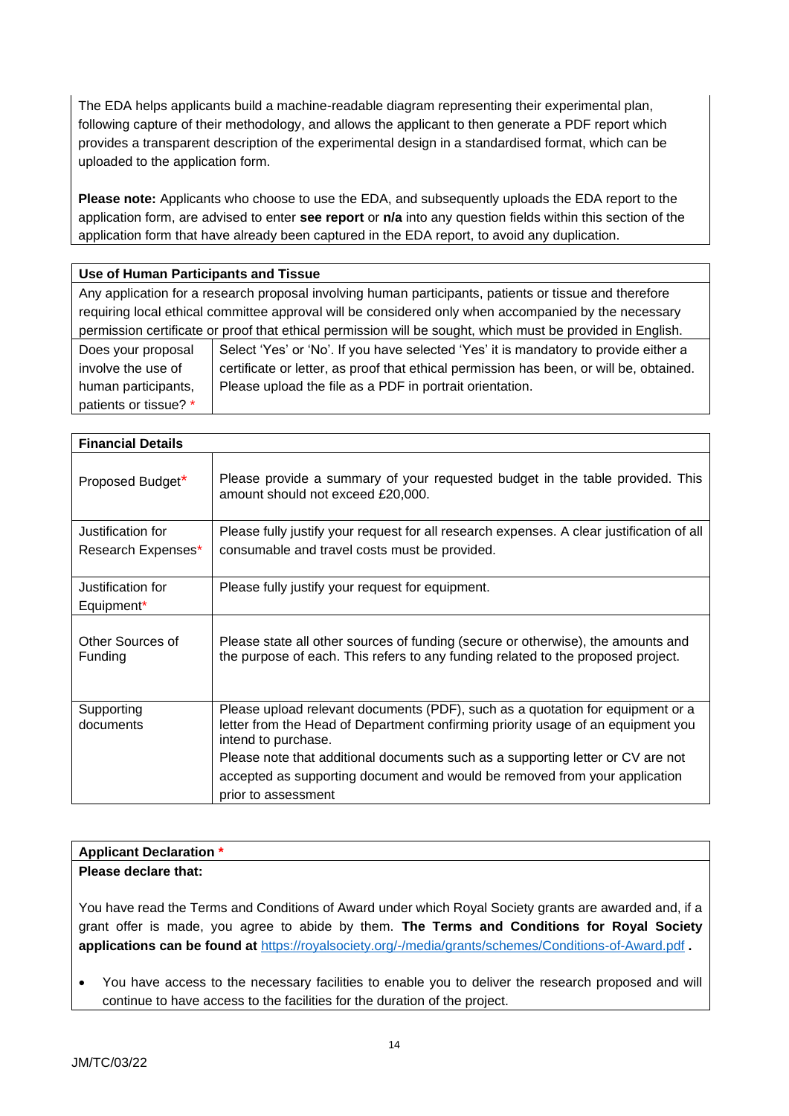The EDA helps applicants build a machine-readable diagram representing their experimental plan, following capture of their methodology, and allows the applicant to then generate a PDF report which provides a transparent description of the experimental design in a standardised format, which can be uploaded to the application form.

**Please note:** Applicants who choose to use the EDA, and subsequently uploads the EDA report to the application form, are advised to enter **see report** or **n/a** into any question fields within this section of the application form that have already been captured in the EDA report, to avoid any duplication.

## **Use of Human Participants and Tissue**

Any application for a research proposal involving human participants, patients or tissue and therefore requiring local ethical committee approval will be considered only when accompanied by the necessary permission certificate or proof that ethical permission will be sought, which must be provided in English.

| Does your proposal    | Select 'Yes' or 'No'. If you have selected 'Yes' it is mandatory to provide either a    |
|-----------------------|-----------------------------------------------------------------------------------------|
| involve the use of    | certificate or letter, as proof that ethical permission has been, or will be, obtained. |
| human participants,   | Please upload the file as a PDF in portrait orientation.                                |
| patients or tissue? * |                                                                                         |

| <b>Financial Details</b>                                                                                                                                             |  |  |
|----------------------------------------------------------------------------------------------------------------------------------------------------------------------|--|--|
| Please provide a summary of your requested budget in the table provided. This<br>amount should not exceed £20,000.                                                   |  |  |
| Please fully justify your request for all research expenses. A clear justification of all                                                                            |  |  |
| consumable and travel costs must be provided.                                                                                                                        |  |  |
| Please fully justify your request for equipment.                                                                                                                     |  |  |
|                                                                                                                                                                      |  |  |
| Please state all other sources of funding (secure or otherwise), the amounts and<br>the purpose of each. This refers to any funding related to the proposed project. |  |  |
| Please upload relevant documents (PDF), such as a quotation for equipment or a<br>letter from the Head of Department confirming priority usage of an equipment you   |  |  |
| intend to purchase.                                                                                                                                                  |  |  |
| Please note that additional documents such as a supporting letter or CV are not<br>accepted as supporting document and would be removed from your application        |  |  |
| prior to assessment                                                                                                                                                  |  |  |
|                                                                                                                                                                      |  |  |

# **Applicant Declaration \***

**Please declare that:**

You have read the Terms and Conditions of Award under which Royal Society grants are awarded and, if a grant offer is made, you agree to abide by them. **The Terms and Conditions for Royal Society applications can be found at** <https://royalsociety.org/-/media/grants/schemes/Conditions-of-Award.pdf> **.** 

• You have access to the necessary facilities to enable you to deliver the research proposed and will continue to have access to the facilities for the duration of the project.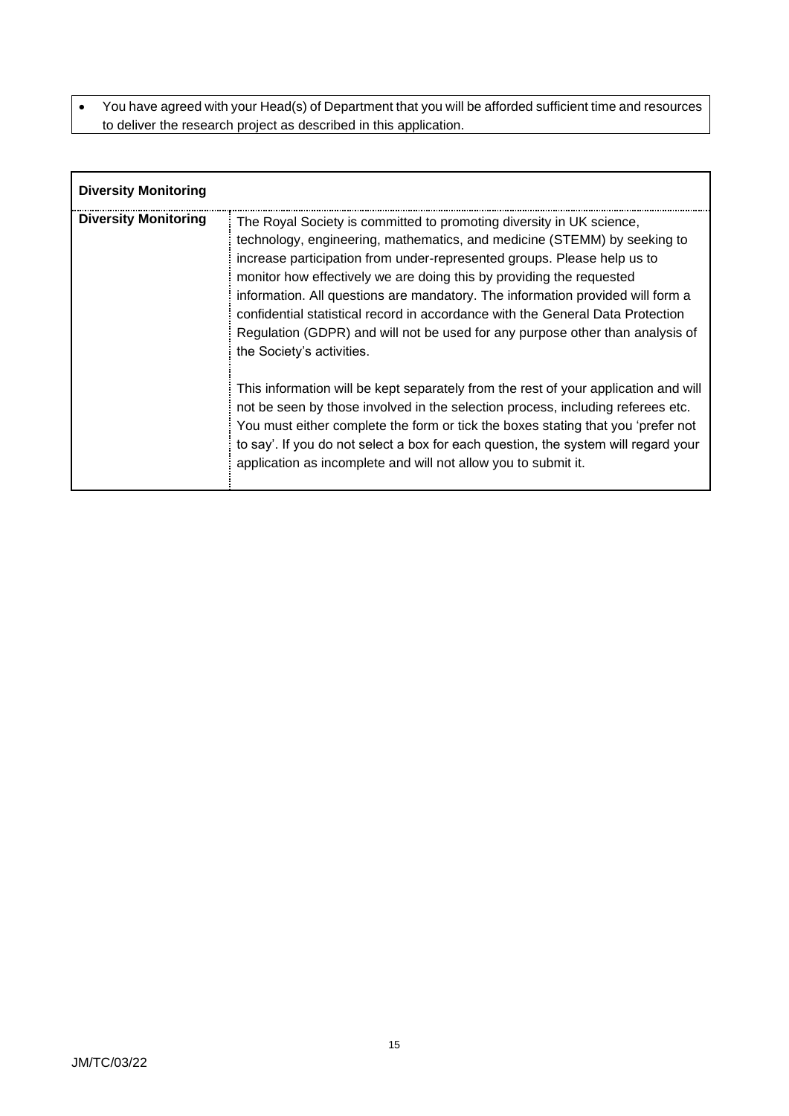• You have agreed with your Head(s) of Department that you will be afforded sufficient time and resources to deliver the research project as described in this application.

| <b>Diversity Monitoring</b> |                                                                                                                                                                                                                                                                                                                                                                                                                                                                                                                                                                                       |
|-----------------------------|---------------------------------------------------------------------------------------------------------------------------------------------------------------------------------------------------------------------------------------------------------------------------------------------------------------------------------------------------------------------------------------------------------------------------------------------------------------------------------------------------------------------------------------------------------------------------------------|
| <b>Diversity Monitoring</b> | The Royal Society is committed to promoting diversity in UK science,<br>technology, engineering, mathematics, and medicine (STEMM) by seeking to<br>increase participation from under-represented groups. Please help us to<br>monitor how effectively we are doing this by providing the requested<br>information. All questions are mandatory. The information provided will form a<br>confidential statistical record in accordance with the General Data Protection<br>Regulation (GDPR) and will not be used for any purpose other than analysis of<br>the Society's activities. |
|                             | This information will be kept separately from the rest of your application and will<br>not be seen by those involved in the selection process, including referees etc.<br>You must either complete the form or tick the boxes stating that you 'prefer not<br>to say'. If you do not select a box for each question, the system will regard your<br>application as incomplete and will not allow you to submit it.                                                                                                                                                                    |